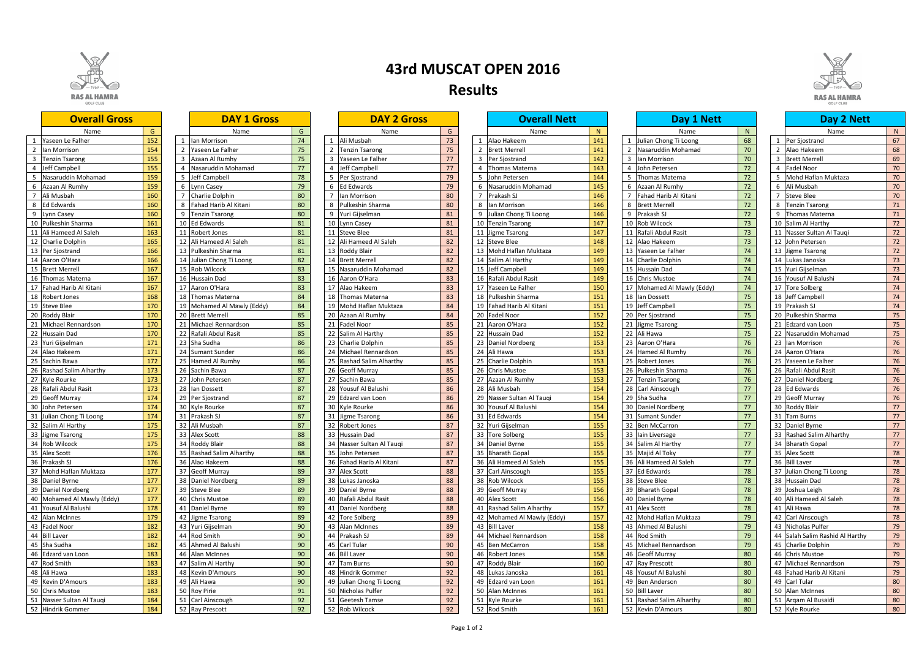

## 40 Mohamed Al Mawly (Eddy) 177<br>41 Yousuf Al Balushi 178

|                | <b>DAY 1 Gross</b>      |    |
|----------------|-------------------------|----|
|                | Name                    | G  |
| 1              | Ian Morrison            | 74 |
| $\overline{c}$ | Yaseen Le Falher        | 75 |
| 3              | Azaan Al Rumhy          | 75 |
| 4              | Nasaruddin Mohamad      | 77 |
| 5              | Jeff Campbell           | 78 |
| 6              | Lynn Casey              | 79 |
| 7              | Charlie Dolphin         | 80 |
| 8              | Fahad Harib Al Kitani   | 80 |
| 9              | <b>Tenzin Tsarong</b>   | 80 |
| 10             | Ed Edwards              | 81 |
| 11             | Robert Jones            | 81 |
| 12             | Ali Hameed Al Saleh     | 81 |
| 13             | Pulkeshin Sharma        | 81 |
| 14             | Julian Chong Ti Loong   | 82 |
| 15             | Rob Wilcock             | 83 |
| 16             | Hussain Dad             | 83 |
| 17             | Aaron O'Hara            | 83 |
| 18             | Thomas Materna          | 84 |
| 19             | Mohamed Al Mawly (Eddy) | 84 |
| 20             | <b>Brett Merrell</b>    | 85 |
| 21             |                         |    |
|                | Michael Rennardson      | 85 |
| 22             | Rafali Abdul Rasit      | 85 |
| 23             | Sha Sudha               | 86 |
| 24             | <b>Sumant Sunder</b>    | 86 |
| 25             | Hamed Al Rumhy          | 86 |
| 26             | Sachin Bawa             | 87 |
| 27             | John Petersen           | 87 |
| 28             | lan Dossett             | 87 |
| 29             | Per Sjostrand           | 87 |
| 30             | Kyle Rourke             | 87 |
| 31             | Prakash SJ              | 87 |
| 32             | Ali Musbah              | 87 |
| 33             | <b>Alex Scott</b>       | 88 |
| 34             | Roddy Blair             | 88 |
| 35             | Rashad Salim Alharthy   | 88 |
| 36             | Alao Hakeem             | 88 |
| 37             | Geoff Murray            | 89 |
| 38             | Daniel Nordberg         | 89 |
| 39             | <b>Steve Blee</b>       | 89 |
| 40             | Chris Mustoe            | 89 |
| 41             | Daniel Byrne            | 89 |
| 42             | Jigme Tsarong           | 89 |
| 43             | Yuri Gijselman          | 90 |
| 44             | Rod Smith               | 90 |
| 45             | Ahmed Al Balushi        | 90 |
| 46             | Alan McInnes            | 90 |
| 47             | Salim Al Harthy         | 90 |
| 48             | Kevin D'Amours          | 90 |
| 49             | Ali Hawa                | 90 |
| 50             | Roy Pirie               | 91 |
| 51             | Carl Ainscough          | 92 |
| 52             | Ray Prescott            | 92 |
|                |                         |    |

|                 | UA T<br><u>Z UIUSS</u> |    |
|-----------------|------------------------|----|
|                 | Name                   | G  |
| $\mathbf{1}$    | Ali Musbah             | 73 |
| $\overline{a}$  | <b>Tenzin Tsarong</b>  | 75 |
| 3               | Yaseen Le Falher       | 77 |
| 4               | Jeff Campbell          | 77 |
| $\frac{5}{2}$   | Per Sjostrand          | 79 |
| 6               | <b>Ed Edwards</b>      | 79 |
| 7               | lan Morrison           | 80 |
| 8               | Pulkeshin Sharma       | 80 |
| 9               | Yuri Gijselman         | 81 |
| 10              | Lynn Casey             | 81 |
| $\overline{11}$ | <b>Steve Blee</b>      | 81 |
| 12              | Ali Hameed Al Saleh    | 82 |
| 13              | Roddy Blair            | 82 |
| 14              | <b>Brett Merrell</b>   | 82 |
| 15              | Nasaruddin Mohamad     | 82 |
| 16              | Aaron O'Hara           | 83 |
| 17              | Alao Hakeem            | 83 |
| 18              | Thomas Materna         | 83 |
| 19              | Mohd Haflan Muktaza    | 84 |
| 20              | Azaan Al Rumhy         | 84 |
| $\overline{21}$ | <b>Fadel Noor</b>      | 85 |
| $^{22}$         | Salim Al Harthy        | 85 |
| 23              | Charlie Dolphin        | 85 |
| 24              | Michael Rennardson     | 85 |
| 25              | Rashad Salim Alharthy  | 85 |
| 26              | <b>Geoff Murray</b>    | 85 |
| $\overline{27}$ | Sachin Bawa            | 85 |
| 28              | Yousuf Al Balushi      | 86 |
| 29              | Edzard van Loon        | 86 |
| 30              | Kyle Rourke            | 86 |
| 31              | Jigme Tsarong          | 86 |
| 32              | Robert Jones           | 87 |
| 33              | Hussain Dad            | 87 |
| 34              | Nasser Sultan Al Tauqi | 87 |
| 35              | John Petersen          | 87 |
| 36              | Fahad Harib Al Kitani  | 87 |
| 37              | Alex Scott             | 88 |
| 38              | Lukas Janoska          | 88 |
| 39              | Daniel Byrne           | 88 |
| 40              | Rafali Abdul Rasit     | 88 |
| 41              | Daniel Nordberg        | 88 |
| 42              | <b>Tore Solberg</b>    | 89 |
| 43              | Alan McInnes           | 89 |
| 44              | Prakash SJ             | 89 |
| 45              | Carl Tular             | 90 |
| 46              | <b>Bill Laver</b>      | 90 |
| 47              | <b>Tam Burns</b>       | 90 |
| 48              | Hindrik Gommer         | 92 |
| 19              | Julian Chong Ti Loong  | 92 |
| 50              | Nicholas Pulfer        | 92 |
| $\overline{51}$ | Geetesh Tamse          | 92 |
| 52              | Rob Wilcock            | 92 |

| <b>Overall Gross</b>       |     |    | <b>DAY 1 Gross</b>       |    | <b>DAY 2 Gross</b>            |    |   | <b>Overall Nett</b>        |     |    | Day 1 Nett                 |    | Day 2 Nett                      |    |
|----------------------------|-----|----|--------------------------|----|-------------------------------|----|---|----------------------------|-----|----|----------------------------|----|---------------------------------|----|
| Name                       | G   |    | Name                     | G  | Name                          | G  |   | Name                       | N   |    | Name                       | N  | Name                            | N  |
| Yaseen Le Falher           | 152 |    | lan Morrison             | 74 | Ali Musbah                    | 73 |   | Alao Hakeem                | 141 |    | Julian Chong Ti Loong      | 68 | Per Sjostrand                   | 67 |
| lan Morrison               | 154 |    | Yaseen Le Falher         | 75 | <b>Tenzin Tsarong</b>         | 75 |   | <b>Brett Merrell</b>       | 141 |    | Nasaruddin Mohamad         | 70 | 2 Alao Hakeem                   | 68 |
| <b>Tenzin Tsarong</b>      | 155 |    | Azaan Al Rumhy           | 75 | Yaseen Le Falher              | 77 |   | Per Siostrand              | 142 |    | 3 Ian Morrison             | 70 | 3 Brett Merrell                 | 69 |
| Jeff Campbell              | 155 |    | Nasaruddin Mohamad       | 77 | Jeff Campbell                 | 77 |   | Thomas Materna             | 143 |    | 4 John Petersen            | 72 | 4 Fadel Noor                    | 70 |
| Nasaruddin Mohamad         | 159 |    | Jeff Campbell            | 78 | Per Sjostrand                 | 79 |   | John Petersen              | 144 |    | 5 Thomas Materna           | 72 | Mohd Haflan Muktaza             | 70 |
| Azaan Al Rumhy             | 159 |    | Lynn Casey               | 79 | <b>Ed Edwards</b>             | 79 |   | Nasaruddin Mohamad         | 145 | 6  | Azaan Al Rumhy             | 72 | 6 Ali Musbah                    | 70 |
| Ali Musbah                 | 160 |    | Charlie Dolphin          | 80 | an Morrison                   | 80 |   | Prakash SJ                 | 146 |    | Fahad Harib Al Kitani      | 72 | <b>Steve Blee</b>               | 70 |
| <b>Ed Edwards</b>          | 160 |    | Fahad Harib Al Kitani    | 80 | Pulkeshin Sharma<br>8         | 80 | 8 | Ian Morrison               | 146 | 8  | <b>Brett Merrell</b>       | 72 | 8 Tenzin Tsarong                | 71 |
| Lynn Casey                 | 160 |    | <b>Tenzin Tsarong</b>    | 80 | Yuri Gijselman<br>9           | 81 | 9 | Julian Chong Ti Loong      | 146 | 9  | Prakash SJ                 | 72 | 9 Thomas Materna                | 71 |
| Pulkeshin Sharma           | 161 | 10 | <b>Ed Edwards</b>        | 81 | Lynn Casey<br>10              | 81 |   | 10 Tenzin Tsarong          | 147 | 10 | Rob Wilcock                | 73 | 10 Salim Al Harthy              | 72 |
| Ali Hameed Al Saleh        | 163 |    | <b>Robert Jones</b>      | 81 | <b>Steve Blee</b>             | 81 |   | 11 Jigme Tsarong           | 147 | 11 | Rafali Abdul Rasit         | 73 | 11 Nasser Sultan Al Tauqi       | 72 |
| Charlie Dolphin            | 165 |    | Ali Hameed Al Saleh      | 81 | Ali Hameed Al Saleh           | 82 |   | 12 Steve Blee              | 148 | 12 | Alao Hakeem                | 73 | 12 John Petersen                | 72 |
| Per Sjostrand              | 166 | 13 | Pulkeshin Sharma         | 81 | Roddy Blair<br>13             | 82 |   | 13 Mohd Haflan Muktaza     | 149 | 13 | Yaseen Le Falher           | 74 | 13 Jigme Tsarong                | 72 |
| Aaron O'Hara               | 166 |    | Julian Chong Ti Loong    | 82 | <b>Brett Merrell</b><br>14    | 82 |   | 14 Salim Al Harthy         | 149 |    | 14 Charlie Dolphin         | 74 | 14 Lukas Janoska                | 73 |
| <b>Brett Merrell</b>       | 167 |    | Rob Wilcock              | 83 | Nasaruddin Mohamad            | 82 |   | 15 Jeff Campbell           | 149 |    | 15 Hussain Dad             | 74 | 15 Yuri Gijselman               | 73 |
| <b>Thomas Materna</b>      | 167 |    | Hussain Dad              | 83 | Aaron O'Hara<br>16            | 83 |   | 16 Rafali Abdul Rasit      | 149 |    | 16 Chris Mustoe            | 74 | 16 Yousuf Al Balushi            | 74 |
| Fahad Harib Al Kitani      | 167 |    | Aaron O'Hara             | 83 | Alao Hakeem<br>17             | 83 |   | 17 Yaseen Le Falher        | 150 |    | 17 Mohamed Al Mawly (Eddy) | 74 | 17 Tore Solberg                 | 74 |
| <b>Robert Jones</b>        | 168 | 18 | Thomas Materna           | 84 | Thomas Materna<br>18          | 83 |   | 18 Pulkeshin Sharma        | 151 |    | 18 Ian Dossett             | 75 | 18 Jeff Campbell                | 74 |
| 19 Steve Blee              | 170 |    | Mohamed Al Mawly (Eddy)  | 84 | Mohd Haflan Muktaza<br>19     | 84 |   | 19 Fahad Harib Al Kitani   | 151 | 19 | Jeff Campbell              | 75 | 19 Prakash SJ                   | 74 |
| 20 Roddy Blair             | 170 | 20 | <b>Brett Merrell</b>     | 85 | Azaan Al Rumhy<br>20          | 84 |   | 20 Fadel Noor              | 152 |    | 20 Per Sjostrand           | 75 | 20 Pulkeshin Sharma             | 75 |
| Michael Rennardson         | 170 |    | Michael Rennardson       | 85 | Fadel Noor<br>21              | 85 |   | 21 Aaron O'Hara            | 152 |    | 21 Jigme Tsarong           | 75 | 21 Edzard van Loon              | 75 |
| <b>Hussain Dad</b>         | 170 |    | Rafali Abdul Rasit       | 85 | 22<br>Salim Al Harthy         | 85 |   | 22 Hussain Dad             | 152 |    | 22 Ali Hawa                | 75 | 22 Nasaruddin Mohamad           | 75 |
| Yuri Gijselman             | 171 | 23 | Sha Sudha                | 86 | Charlie Dolphin<br>23         | 85 |   | 23 Daniel Nordberg         | 153 | 23 | Aaron O'Hara               | 76 | 23 Ian Morrison                 | 76 |
| Alao Hakeem                | 171 | 24 | <b>Sumant Sunder</b>     | 86 | Michael Rennardson<br>24      | 85 |   | 24 Ali Hawa                | 153 |    | 24 Hamed Al Rumhy          | 76 | 24 Aaron O'Hara                 | 76 |
| Sachin Bawa                | 172 |    | Hamed Al Rumhy           | 86 | Rashad Salim Alharthy<br>25   | 85 |   | 25 Charlie Dolphin         | 153 |    | 25 Robert Jones            | 76 | 25 Yaseen Le Falher             | 76 |
| Rashad Salim Alharthy      | 173 |    | 26 Sachin Bawa           | 87 | <b>Geoff Murray</b><br>26     | 85 |   | 26 Chris Mustoe            | 153 |    | 26 Pulkeshin Sharma        | 76 | 26 Rafali Abdul Rasit           | 76 |
| Kyle Rourke                | 173 |    | John Petersen            | 87 | Sachin Bawa<br>27             | 85 |   | 27 Azaan Al Rumhy          | 153 |    | 27 Tenzin Tsarong          | 76 | 27 Daniel Nordberg              | 76 |
| Rafali Abdul Rasit         | 173 |    | Ian Dossett              | 87 | 28<br>Yousuf Al Balushi       | 86 |   | 28 Ali Musbah              | 154 | 28 | Carl Ainscough             | 77 | 28 Ed Edwards                   | 76 |
| <b>Geoff Murray</b>        | 174 | 29 | Per Sjostrand            | 87 | 29<br>Edzard van Loon         | 86 |   | 29 Nasser Sultan Al Tauqi  | 154 |    | 29 Sha Sudha               | 77 | 29 Geoff Murray                 | 76 |
| 30 John Petersen           | 174 |    | 30 Kyle Rourke           | 87 | 30<br>Kyle Rourke             | 86 |   | 30 Yousuf Al Balushi       | 154 |    | 30 Daniel Nordberg         | 77 | 30 Roddy Blair                  | 77 |
| 31 Julian Chong Ti Loong   | 174 |    | Prakash SJ               | 87 | 31<br>igme Tsarong            | 86 |   | 31 Ed Edwards              | 154 |    | 31 Sumant Sunder           | 77 | 31 Tam Burns                    | 77 |
| Salim Al Harthy            | 175 |    | Ali Musbah               | 87 | 32<br><b>Robert Jones</b>     | 87 |   | 32 Yuri Gijselman          | 155 |    | 32 Ben McCarron            | 77 | 32 Daniel Byrne                 | 77 |
| Jigme Tsarong              | 175 |    | <b>Alex Scott</b>        | 88 | 33<br><b>Hussain Dad</b>      | 87 |   | 33 Tore Solberg            | 155 |    | 33 Iain Liversage          | 77 | 33 Rashad Salim Alharthy        | 77 |
| Rob Wilcock                | 175 | 34 | Roddy Blair              | 88 | Nasser Sultan Al Tauqi<br>-34 | 87 |   | 34 Daniel Byrne            | 155 | 34 | Salim Al Harthy            | 77 | 34 Bharath Gopal                | 77 |
| 35 Alex Scott              | 176 |    | 35 Rashad Salim Alharthy | 88 | 35 John Petersen              | 87 |   | 35 Bharath Gopal           | 155 |    | 35 Majid Al Toky           | 77 | 35 Alex Scott                   | 78 |
| 36 Prakash SJ              | 176 |    | 36 Alao Hakeem           | 88 | 36 Fahad Harib Al Kitani      | 87 |   | 36 Ali Hameed Al Saleh     | 155 |    | 36 Ali Hameed Al Saleh     | 77 | 36 Bill Laver                   | 78 |
| 37 Mohd Haflan Muktaza     | 177 |    | 37 Geoff Murray          | 89 | 37<br>Alex Scott              | 88 |   | 37 Carl Ainscough          | 155 |    | 37 Ed Edwards              | 78 | 37 Julian Chong Ti Loong        | 78 |
| 38 Daniel Byrne            | 177 |    | 38 Daniel Nordberg       | 89 | 38<br>Lukas Janoska           | 88 |   | 38 Rob Wilcock             | 155 |    | 38 Steve Blee              | 78 | 38 Hussain Dad                  | 78 |
| 39 Daniel Nordberg         | 177 |    | 39 Steve Blee            | 89 | 39 Daniel Byrne               | 88 |   | 39 Geoff Murray            | 156 |    | 39 Bharath Gopal           | 78 | 39 Joshua Leigh                 | 78 |
| 40 Mohamed Al Mawly (Eddy) | 177 |    | 40 Chris Mustoe          | 89 | 40 Rafali Abdul Rasit         | 88 |   | 40 Alex Scott              | 156 |    | 40 Daniel Byrne            | 78 | 40 Ali Hameed Al Saleh          | 78 |
| 41 Yousuf Al Balushi       | 178 |    | 41 Daniel Byrne          | 89 | Daniel Nordberg<br>41         | 88 |   | 41 Rashad Salim Alharthy   | 157 |    | 41 Alex Scott              | 78 | 41 Ali Hawa                     | 78 |
| 42 Alan McInnes            | 179 |    | 42 Jigme Tsarong         | 89 | 42<br><b>Tore Solberg</b>     | 89 |   | 42 Mohamed Al Mawly (Eddy) | 157 |    | 42 Mohd Haflan Muktaza     | 79 | 42 Carl Ainscough               | 78 |
| 43 Fadel Noor              | 182 |    | 43 Yuri Gijselman        | 90 | Alan McInnes<br>43            | 89 |   | 43 Bill Laver              | 158 |    | 43 Ahmed Al Balushi        | 79 | 43 Nicholas Pulfer              | 79 |
| 44 Bill Laver              | 182 |    | 44 Rod Smith             | 90 | 44<br>Prakash SJ              | 89 |   | 44 Michael Rennardson      | 158 |    | 44 Rod Smith               | 79 | 44 Salah Salim Rashid Al Harthy | 79 |
| 45 Sha Sudha               | 182 |    | 45 Ahmed Al Balushi      | 90 | 45 Carl Tular                 | 90 |   | 45 Ben McCarron            | 158 |    | 45 Michael Rennardson      | 79 | 45 Charlie Dolphin              | 79 |
| 46 Edzard van Loon         | 183 |    | 46 Alan McInnes          | 90 | 46 Bill Laver                 | 90 |   | 46 Robert Jones            | 158 |    | 46 Geoff Murray            | 80 | 46 Chris Mustoe                 | 79 |
| 47 Rod Smith               | 183 |    | 47 Salim Al Harthy       | 90 | 47 Tam Burns                  | 90 |   | 47 Roddy Blair             | 160 |    | 47 Ray Prescott            | 80 | 47 Michael Rennardson           | 79 |
| 48 Ali Hawa                | 183 |    | 48 Kevin D'Amours        | 90 | 48 Hindrik Gommer             | 92 |   | 48 Lukas Janoska           | 161 |    | 48 Yousuf Al Balushi       | 80 | 48 Fahad Harib Al Kitani        | 79 |
| 49 Kevin D'Amours          | 183 |    | 49 Ali Hawa              | 90 | 49 Julian Chong Ti Loong      | 92 |   | 49 Edzard van Loon         | 161 |    | 49 Ben Anderson            | 80 | 49 Carl Tular                   | 80 |
| 50 Chris Mustoe            | 183 |    | 50 Roy Pirie             | 91 | 50 Nicholas Pulfer            | 92 |   | 50 Alan McInnes            | 161 |    | 50 Bill Laver              | 80 | 50 Alan McInnes                 | 80 |
| 51 Nasser Sultan Al Tauqi  | 184 |    | 51 Carl Ainscough        | 92 | 51 Geetesh Tamse              | 92 |   | 51 Kyle Rourke             | 161 |    | 51 Rashad Salim Alharthy   | 80 | 51 Argam Al Busaidi             | 80 |
| 52 Hindrik Gommer          | 184 |    | 52 Ray Prescott          | 92 | 52 Rob Wilcock                | 92 |   | 52 Rod Smith               | 161 |    | 52 Kevin D'Amours          | 80 | 52 Kyle Rourke                  | 80 |

## **43rd MUSCAT OPEN 2016 Results**

|                | <b>Overall Nett</b>     |     |
|----------------|-------------------------|-----|
|                | Name                    | N   |
| 1              | Alao Hakeem             | 141 |
| $\overline{2}$ | <b>Brett Merrell</b>    | 141 |
| 3              | Per Sjostrand           | 142 |
| 4              | <b>Thomas Materna</b>   | 143 |
| 5              | John Petersen           | 144 |
| 6              | Nasaruddin Mohamad      | 145 |
| 7              | Prakash SJ              | 146 |
| 8              | lan Morrison            | 146 |
| 9              | Julian Chong Ti Loong   | 146 |
| 10             | <b>Tenzin Tsarong</b>   | 147 |
| 11             | Jigme Tsarong           | 147 |
| 12             | <b>Steve Blee</b>       | 148 |
| 13             | Mohd Haflan Muktaza     | 149 |
| 14             | Salim Al Harthy         | 149 |
| 15             | Jeff Campbell           | 149 |
| 16             | Rafali Abdul Rasit      | 149 |
| 17             | Yaseen Le Falher        | 150 |
| 18             | Pulkeshin Sharma        | 151 |
| 19             | Fahad Harib Al Kitani   | 151 |
| 20             | <b>Fadel Noor</b>       | 152 |
| 21             | Aaron O'Hara            | 152 |
| 22             | <b>Hussain Dad</b>      | 152 |
| 23             | Daniel Nordberg         | 153 |
|                | 24 Ali Hawa             | 153 |
|                | 25 Charlie Dolphin      | 153 |
|                | 26 Chris Mustoe         | 153 |
|                | 27 Azaan Al Rumhy       | 153 |
| 28             | Ali Musbah              | 154 |
| 29             | Nasser Sultan Al Tauqi  | 154 |
| 30             | Yousuf Al Balushi       | 154 |
|                | 31 Ed Edwards           | 154 |
|                | 32 Yuri Gijselman       | 155 |
|                | 33 Tore Solberg         | 155 |
|                | 34 Daniel Byrne         | 155 |
| 35             | <b>Bharath Gopal</b>    | 155 |
| 36             | Ali Hameed Al Saleh     | 155 |
| 37             | Carl Ainscough          | 155 |
| 38             | Rob Wilcock             | 155 |
| 39             | Geoff Murray            | 156 |
| 40             | Alex Scott              | 156 |
| 41             | Rashad Salim Alharthy   | 157 |
| 42             | Mohamed Al Mawly (Eddy) | 157 |
| 43             | <b>Bill Laver</b>       | 158 |
| 44             | Michael Rennardson      | 158 |
| 45             | <b>Ben McCarron</b>     | 158 |
| 46             | Robert Jones            | 158 |
| 47             | Roddy Blair             | 160 |
| 48             | Lukas Janoska           | 161 |
| 49             | Edzard van Loon         | 161 |
| 50             | Alan McInnes            | 161 |
| 51             | Kyle Rourke             | 161 |
| 52             | Rod Smith               | 161 |



|                | Day 2 Nett                   |                 |
|----------------|------------------------------|-----------------|
|                | Name                         | N               |
| 1              | Per Sjostrand                | 67              |
| $\overline{2}$ | Alao Hakeem                  | 68              |
| 3              | <b>Brett Merrell</b>         | 69              |
| $\overline{4}$ | <b>Fadel Noor</b>            | 70              |
| 5              | Mohd Haflan Muktaza          | 70              |
| 6              | Ali Musbah                   | 70              |
| $\overline{7}$ | <b>Steve Blee</b>            | 70              |
| 8              | <b>Tenzin Tsarong</b>        | $\overline{71}$ |
| 9              | <b>Thomas Materna</b>        | 71              |
| 10             | Salim Al Harthy              | 72              |
| 11             | Nasser Sultan Al Tauqi       | 72              |
| 12             | John Petersen                | 72              |
| 13             | Jigme Tsarong                | 72              |
| 14             | Lukas Janoska                | 73              |
| 15             | Yuri Gijselman               | 73              |
| 16             | Yousuf Al Balushi            | 74              |
| 17             | Tore Solberg                 | 74              |
| 18             | Jeff Campbell                | 74              |
| 19             | Prakash SJ                   | 74              |
| 20             | Pulkeshin Sharma             | 75              |
| 21             | Edzard van Loon              | 75              |
| 22             | Nasaruddin Mohamad           | 75              |
| 23             | Ian Morrison                 | 76              |
| 24             | Aaron O'Hara                 | 76              |
| 25             | Yaseen Le Falher             | 76              |
| 26             | Rafali Abdul Rasit           | 76              |
| 27             | Daniel Nordberg              | 76              |
| 28             | <b>Ed Edwards</b>            | 76              |
| 29             | <b>Geoff Murray</b>          | 76              |
| 30             | <b>Roddy Blair</b>           | 77              |
| 31             | <b>Tam Burns</b>             | 77              |
| 32             | Daniel Byrne                 | 77              |
| 33             | Rashad Salim Alharthy        | 77              |
| 34             | <b>Bharath Gopal</b>         | 77              |
| 35             | <b>Alex Scott</b>            | 78              |
| 36             | <b>Bill Laver</b>            | 78              |
| 37             | Julian Chong Ti Loong        | 78              |
| 38             | Hussain Dad                  | 78              |
| 39             | Joshua Leigh                 | 78              |
| 40             | Ali Hameed Al Saleh          | 78              |
| 41             | Ali Hawa                     | 78              |
| 42             | Carl Ainscough               | 78              |
| 43             | Nicholas Pulfer              | 79              |
| 44             | Salah Salim Rashid Al Harthy | 79              |
| 45             | Charlie Dolphin              | 79              |
| 46             | Chris Mustoe                 | 79              |
| 47             | Michael Rennardson           | 79              |
| 48             | Fahad Harib Al Kitani        | 79              |
| 49             | Carl Tular                   | 80              |
| 50             | Alan McInnes                 | 80              |
| 51             | Arqam Al Busaidi             | 80              |
| 52             | Kyle Rourke                  | 80              |
|                |                              |                 |